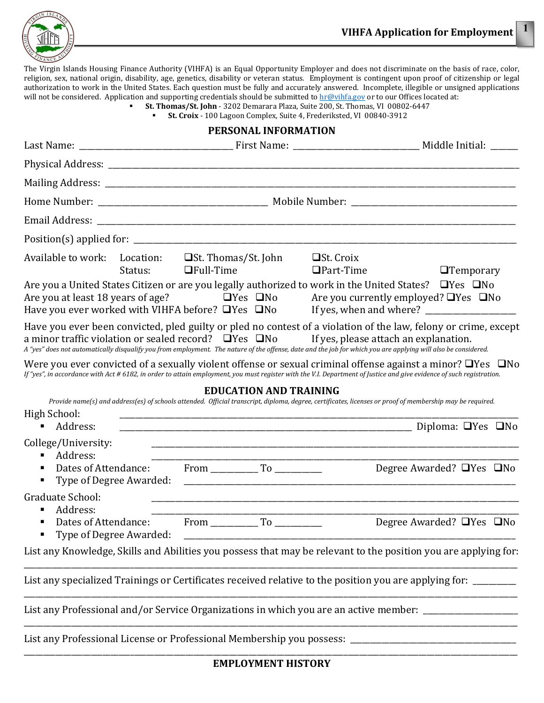

The Virgin Islands Housing Finance Authority (VIHFA) is an Equal Opportunity Employer and does not discriminate on the basis of race, color, religion, sex, national origin, disability, age, genetics, disability or veteran status. Employment is contingent upon proof of citizenship or legal authorization to work in the United States. Each question must be fully and accurately answered. Incomplete, illegible or unsigned applications will not be considered. Application and supporting credentials should be submitted to [hr@vihfa.gov o](mailto:hr@vihfa.gov)r to our Offices located at:

**St. Thomas/St. John** - 3202 Demarara Plaza, Suite 200, St. Thomas, VI 00802-6447

**St. Croix** - 100 Lagoon Complex, Suite 4, Frederiksted, VI 00840-3912

## **PERSONAL INFORMATION** Last Name: \_\_\_\_\_\_\_\_\_\_\_\_\_\_\_\_\_\_\_\_\_\_\_\_\_\_\_\_\_\_\_\_\_\_\_\_\_\_\_ First Name: \_\_\_\_\_\_\_\_\_\_\_\_\_\_\_\_\_\_\_\_\_\_\_\_\_\_\_\_\_\_\_\_ Middle Initial: \_\_\_\_\_\_\_ Physical Address: Mailing Address:  $\blacksquare$ Home Number: The Mumber of the Mumber of Mobile Number:  $\blacksquare$ Email Address: **Email Address**: **Email Address: Email Address: Email Address: Email Address: Email Address: Email Address: Email Address: Email Address: Email Address: Email Address: Email Address: Em** Position(s) applied for: \_\_\_\_\_\_\_\_\_\_\_\_\_\_\_\_\_\_\_\_\_\_\_\_\_\_\_\_\_\_\_\_\_\_\_\_\_\_\_\_\_\_\_\_\_\_\_\_\_\_\_\_\_\_\_\_\_\_\_\_\_\_\_\_\_\_\_\_\_\_\_\_\_\_\_\_\_\_\_\_\_\_\_\_\_\_\_\_\_\_\_\_\_\_\_\_\_ Available to work: Location:  $\Box$ St. Thomas/St. John  $\Box$ St. Croix<br>Status:  $\Box$ Full-Time  $\Box$ Part-Time  $\Box$ Temporary Are you a United States Citizen or are you legally authorized to work in the United States?  $\Box$  Yes  $\Box$  No Are you currently employed?  $\Box$  Yes  $\Box$  No Are you currently employed?  $\Box$  Yes  $\Box$  No If yes, when and where? Have you ever worked with VIHFA before?  $\Box$  Yes  $\Box$  No Have you ever been convicted, pled guilty or pled no contest of a violation of the law, felony or crime, except a minor traffic violation or sealed record?  $\Box$ Yes  $\Box$ No If yes, please attach an explanation. A "yes" does not automatically disqualify you from employment. The nature of the offense, date and the job for which you are applying will also be considered. Were you ever convicted of a sexually violent offense or sexual criminal offense against a minor?  $\Box$  Yes  $\Box$  No *If "yes", in accordance with Act # 6182, in order to attain employment, you must register with the V.I. Department of Justice and give evidence of such registration.* **EDUCATION AND TRAINING** *Provide name(s) and address(es) of schools attended. Official transcript, diploma, degree, certificates, licenses or proof of membership may be required.* High School: \_\_\_\_\_\_\_\_\_\_\_\_\_\_\_\_\_\_\_\_\_\_\_\_\_\_\_\_\_\_\_\_\_\_\_\_\_\_\_\_\_\_\_\_\_\_\_\_\_\_\_\_\_\_\_\_\_\_\_\_\_\_\_\_\_\_\_\_\_\_\_\_\_\_\_\_\_\_\_\_\_\_\_\_\_\_\_\_\_\_\_\_\_\_\_\_\_\_\_\_\_ Address: \_\_\_\_\_\_\_\_\_\_\_\_\_\_\_\_\_\_\_\_\_\_\_\_\_\_\_\_\_\_\_\_\_\_\_\_\_\_\_\_\_\_\_\_\_\_\_\_\_\_\_\_\_\_\_\_\_\_\_\_\_\_\_\_\_\_\_\_\_\_\_\_\_\_ Diploma: Yes No College/University:<br> **-** Address:  $\blacksquare$   $\blacksquare$   $\blacksquare$   $\blacksquare$   $\blacksquare$   $\blacksquare$   $\blacksquare$   $\blacksquare$   $\blacksquare$   $\blacksquare$   $\blacksquare$   $\blacksquare$   $\blacksquare$   $\blacksquare$   $\blacksquare$   $\blacksquare$   $\blacksquare$   $\blacksquare$   $\blacksquare$   $\blacksquare$   $\blacksquare$   $\blacksquare$   $\blacksquare$   $\blacksquare$   $\blacksquare$   $\blacksquare$   $\blacksquare$   $\blacksquare$   $\blacksquare$   $\blacksquare$   $\blacksquare$   $\blacks$ ■ Dates of Attendance: From To To Degree Awarded? ■ Yes ■ No  $\blacksquare$  Type of Degree Awarded: Graduate School: \_\_\_\_\_\_\_\_\_\_\_\_\_\_\_\_\_\_\_\_\_\_\_\_\_\_\_\_\_\_\_\_\_\_\_\_\_\_\_\_\_\_\_\_\_\_\_\_\_\_\_\_\_\_\_\_\_\_\_\_\_\_\_\_\_\_\_\_\_\_\_\_\_\_\_\_\_\_\_\_\_\_\_\_\_\_\_\_\_\_\_\_\_ ■ Address:<br>■ Dates of Attendance: From \_\_\_\_\_\_\_\_\_\_\_\_ To \_\_\_\_\_\_\_\_\_\_\_\_\_\_\_\_\_\_\_Degree Awarded? ■Yes ■No Dates of Attendance: From To ■ Type of Degree Awarded: List any Knowledge, Skills and Abilities you possess that may be relevant to the position you are applying for: \_\_\_\_\_\_\_\_\_\_\_\_\_\_\_\_\_\_\_\_\_\_\_\_\_\_\_\_\_\_\_\_\_\_\_\_\_\_\_\_\_\_\_\_\_\_\_\_\_\_\_\_\_\_\_\_\_\_\_\_\_\_\_\_\_\_\_\_\_\_\_\_\_\_\_\_\_\_\_\_\_\_\_\_\_\_\_\_\_\_\_\_\_\_\_\_\_\_\_\_\_\_\_\_\_\_\_\_\_\_\_\_\_\_\_\_\_\_\_\_\_\_\_\_\_ List any specialized Trainings or Certificates received relative to the position you are applying for: \_\_\_\_\_\_\_ \_\_\_\_\_\_\_\_\_\_\_\_\_\_\_\_\_\_\_\_\_\_\_\_\_\_\_\_\_\_\_\_\_\_\_\_\_\_\_\_\_\_\_\_\_\_\_\_\_\_\_\_\_\_\_\_\_\_\_\_\_\_\_\_\_\_\_\_\_\_\_\_\_\_\_\_\_\_\_\_\_\_\_\_\_\_\_\_\_\_\_\_\_\_\_\_\_\_\_\_\_\_\_\_\_\_\_\_\_\_\_\_\_\_\_\_\_\_\_\_\_\_\_\_\_ List any Professional and/or Service Organizations in which you are an active member: \_\_\_\_\_\_\_\_\_\_\_\_\_\_\_\_\_\_\_\_\_\_\_ \_\_\_\_\_\_\_\_\_\_\_\_\_\_\_\_\_\_\_\_\_\_\_\_\_\_\_\_\_\_\_\_\_\_\_\_\_\_\_\_\_\_\_\_\_\_\_\_\_\_\_\_\_\_\_\_\_\_\_\_\_\_\_\_\_\_\_\_\_\_\_\_\_\_\_\_\_\_\_\_\_\_\_\_\_\_\_\_\_\_\_\_\_\_\_\_\_\_\_\_\_\_\_\_\_\_\_\_\_\_\_\_\_\_\_\_\_\_\_\_\_\_\_\_\_ List any Professional License or Professional Membership you possess: \_\_\_\_\_\_\_\_\_\_\_\_\_\_\_\_\_\_\_\_\_\_\_\_\_\_\_\_\_\_\_\_\_\_\_\_\_\_\_\_\_\_ \_\_\_\_\_\_\_\_\_\_\_\_\_\_\_\_\_\_\_\_\_\_\_\_\_\_\_\_\_\_\_\_\_\_\_\_\_\_\_\_\_\_\_\_\_\_\_\_\_\_\_\_\_\_\_\_\_\_\_\_\_\_\_\_\_\_\_\_\_\_\_\_\_\_\_\_\_\_\_\_\_\_\_\_\_\_\_\_\_\_\_\_\_\_\_\_\_\_\_\_\_\_\_\_\_\_\_\_\_\_\_\_\_\_\_\_\_\_\_\_\_\_\_\_\_

## **EMPLOYMENT HISTORY**